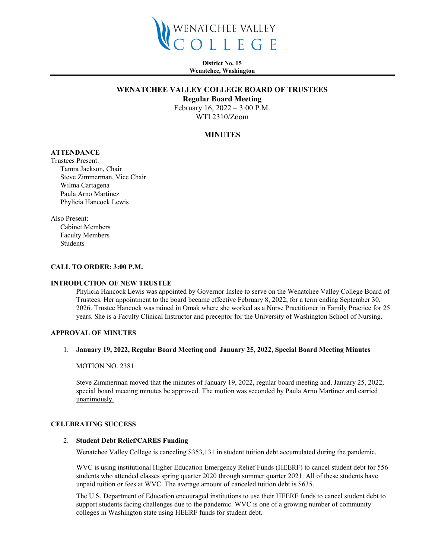

**District No. 15 Wenatchee, Washington**

# **WENATCHEE VALLEY COLLEGE BOARD OF TRUSTEES**

**Regular Board Meeting**

February 16, 2022 – 3:00 P.M. WTI 2310/Zoom

# **MINUTES**

# **ATTENDANCE**

Trustees Present: Tamra Jackson, Chair Steve Zimmerman, Vice Chair Wilma Cartagena Paula Arno Martinez Phylicia Hancock Lewis

Also Present:

Cabinet Members Faculty Members Students

### **CALL TO ORDER: 3:00 P.M.**

### **INTRODUCTION OF NEW TRUSTEE**

Phylicia Hancock Lewis was appointed by Governor Inslee to serve on the Wenatchee Valley College Board of Trustees. Her appointment to the board became effective February 8, 2022, for a term ending September 30, 2026. Trustee Hancock was rained in Omak where she worked as a Nurse Practitioner in Family Practice for 25 years. She is a Faculty Clinical Instructor and preceptor for the University of Washington School of Nursing.

### **APPROVAL OF MINUTES**

### 1. **January 19, 2022, Regular Board Meeting and January 25, 2022, Special Board Meeting Minutes**

MOTION NO. 2381

Steve Zimmerman moved that the minutes of January 19, 2022, regular board meeting and, January 25, 2022, special board meeting minutes be approved. The motion was seconded by Paula Arno Martinez and carried unanimously.

#### **CELEBRATING SUCCESS**

### 2. **Student Debt Relief/CARES Funding**

Wenatchee Valley College is canceling \$353,131 in student tuition debt accumulated during the pandemic.

WVC is using institutional Higher Education Emergency Relief Funds (HEERF) to cancel student debt for 556 students who attended classes spring quarter 2020 through summer quarter 2021. All of these students have unpaid tuition or fees at WVC. The average amount of canceled tuition debt is \$635.

The U.S. Department of Education encouraged institutions to use their HEERF funds to cancel student debt to support students facing challenges due to the pandemic. WVC is one of a growing number of community colleges in Washington state using HEERF funds for student debt.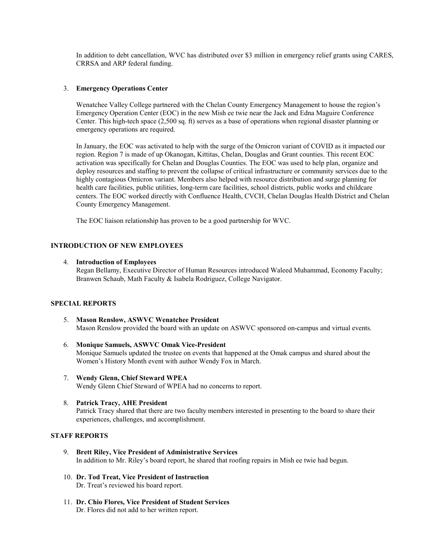In addition to debt cancellation, WVC has distributed over \$3 million in emergency relief grants using CARES, CRRSA and ARP federal funding.

## 3. **Emergency Operations Center**

Wenatchee Valley College partnered with the Chelan County Emergency Management to house the region's Emergency Operation Center (EOC) in the new Mish ee twie near the Jack and Edna Maguire Conference Center. This high-tech space (2,500 sq. ft) serves as a base of operations when regional disaster planning or emergency operations are required.

In January, the EOC was activated to help with the surge of the Omicron variant of COVID as it impacted our region. Region 7 is made of up Okanogan, Kittitas, Chelan, Douglas and Grant counties. This recent EOC activation was specifically for Chelan and Douglas Counties. The EOC was used to help plan, organize and deploy resources and staffing to prevent the collapse of critical infrastructure or community services due to the highly contagious Omicron variant. Members also helped with resource distribution and surge planning for health care facilities, public utilities, long-term care facilities, school districts, public works and childcare centers. The EOC worked directly with Confluence Health, CVCH, Chelan Douglas Health District and Chelan County Emergency Management.

The EOC liaison relationship has proven to be a good partnership for WVC.

# **INTRODUCTION OF NEW EMPLOYEES**

### 4. **Introduction of Employees**

Regan Bellamy, Executive Director of Human Resources introduced Waleed Muhammad, Economy Faculty; Branwen Schaub, Math Faculty & Isabela Rodriguez, College Navigator.

#### **SPECIAL REPORTS**

- 5. **Mason Renslow, ASWVC Wenatchee President** Mason Renslow provided the board with an update on ASWVC sponsored on-campus and virtual events.
- 6. **Monique Samuels, ASWVC Omak Vice-President** Monique Samuels updated the trustee on events that happened at the Omak campus and shared about the Women's History Month event with author Wendy Fox in March.
- 7. **Wendy Glenn, Chief Steward WPEA**  Wendy Glenn Chief Steward of WPEA had no concerns to report.

### 8. **Patrick Tracy, AHE President** Patrick Tracy shared that there are two faculty members interested in presenting to the board to share their experiences, challenges, and accomplishment.

# **STAFF REPORTS**

- 9. **Brett Riley, Vice President of Administrative Services** In addition to Mr. Riley's board report, he shared that roofing repairs in Mish ee twie had begun.
- 10. **Dr. Tod Treat, Vice President of Instruction**  Dr. Treat's reviewed his board report.
- 11. **Dr. Chio Flores, Vice President of Student Services** Dr. Flores did not add to her written report.